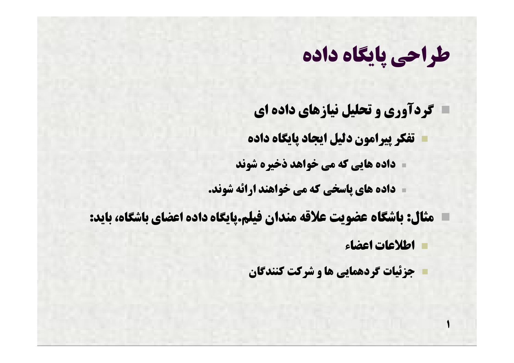**گردآوري و تحلیل نیازهاي داده اي تفکر پیرامون دلیل ایجاد پایگاه داده داده هایی که می خواهد ذخیره شوند**

**داده هاي پاسخی که می خواهند ارائه شوند.**

**مثال: باشگاه عضویت علاقه مندان فیلم.پایگاه داده اعضاي باشگاه، باید:** 

**اطلاعات اعضاء**

**1**

**جزئیات گردهمایی ها و شرکت کنندگان**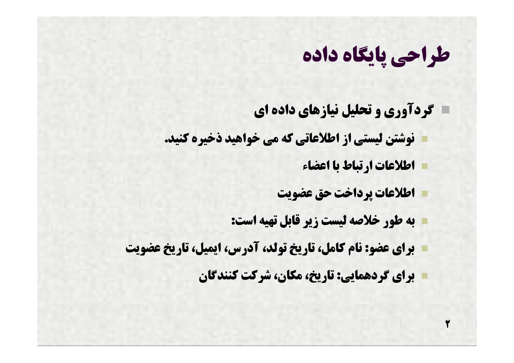**گردآوري و تحلیل نیازهاي داده اي نوشتن لیستی از اطلاعاتی که می خواهید ذخیره کنید.**

**اطلاعات ارتباط با اعضاء**

**2**

**اطلاعات پرداخت حق عضویت**

**به طور خلاصه لیست زیر قابل تهیه است:**

**براي عضو: نام کامل، تاریخ تولد، آدرس، ایمیل، تاریخ عضویت**

**براي گردهمایی: تاریخ،مکان، شرکت کنندگان**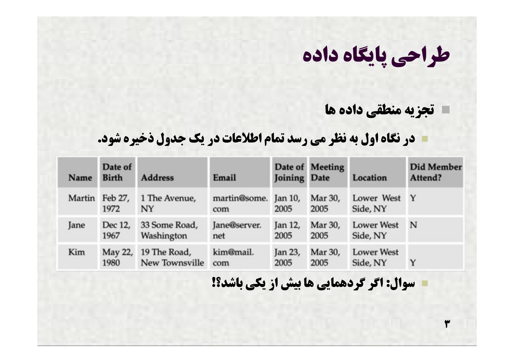#### **تجزیه منطقی داده ها**

**3**

#### **در نگاه اول به نظر می رسد تمام اطلاعات در یک جدول ذخیره شود.**

| Name   | Date of<br><b>Birth</b> | <b>Address</b>                 | Email                       | Joining Date    | Date of Meeting | Location                      | <b>Did Member</b><br>Attend? |
|--------|-------------------------|--------------------------------|-----------------------------|-----------------|-----------------|-------------------------------|------------------------------|
| Martin | Feb 27,<br>1972         | 1 The Avenue,<br>NY            | martin@some. Jan 10,<br>com | 2005            | Mar 30,<br>2005 | Lower West<br>Side, NY        | $\mathbf{Y}$                 |
| Jane   | Dec 12,<br>1967         | 33 Some Road,<br>Washington    | Jane@server.<br>net         | Jan 12,<br>2005 | Mar 30,<br>2005 | <b>Lower West</b><br>Side, NY | N                            |
| Kim    | May 22,<br>1980         | 19 The Road,<br>New Townsville | kim@mail.<br>com            | Jan 23,<br>2005 | Mar 30,<br>2005 | <b>Lower West</b><br>Side, NY | Y                            |

#### **سوال: اگر گردهمایی ها بیش از یکی باشد؟!**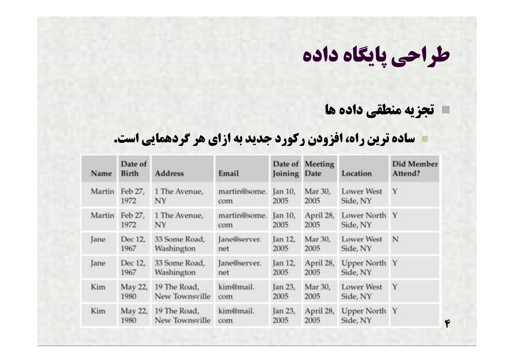#### **تجزیه منطقی داده ها**

#### **ساده ترین راه، افزودن رکورد جدید به ازاي هر گردهمایی است.**

| Name   | Date of<br><b>Birth</b> | <b>Address</b>                 | Email               | Joining Date    | Date of Meeting   | Location                      | <b>Did Member</b><br>Attend? |
|--------|-------------------------|--------------------------------|---------------------|-----------------|-------------------|-------------------------------|------------------------------|
| Martin | Feb 27,<br>1972         | 1 The Avenue,<br>NY            | martin@some.<br>com | jan 10,<br>2005 | Mar 30,<br>2005   | <b>Lower West</b><br>Side, NY | Y                            |
| Martin | Feb 27,<br>1972         | 1 The Avenue,<br>NY            | martin@some.<br>com | Jan 10,<br>2005 | April 28,<br>2005 | Lower North Y<br>Side, NY     |                              |
| Jane   | Dec 12,<br>1967         | 33 Some Road,<br>Washington    | Jane@server.<br>net | Jan 12,<br>2005 | Mar 30,<br>2005   | <b>Lower West</b><br>Side, NY | N                            |
| Jane   | Dec 12,<br>1967         | 33 Some Road,<br>Washington    | Jane@server.<br>net | Jan 12,<br>2005 | April 28,<br>2005 | Upper North Y<br>Side, NY     |                              |
| Kim    | May 22,<br>1980         | 19 The Road,<br>New Townsville | kim@mail.<br>com    | Jan 23,<br>2005 | Mar 30,<br>2005   | <b>Lower West</b><br>Side, NY | Y                            |
| Kim    | May 22,<br>1980         | 19 The Road,<br>New Townsville | kim@mail.<br>com    | Jan 23,<br>2005 | April 28,<br>2005 | Upper North Y<br>Side, NY     | ۴                            |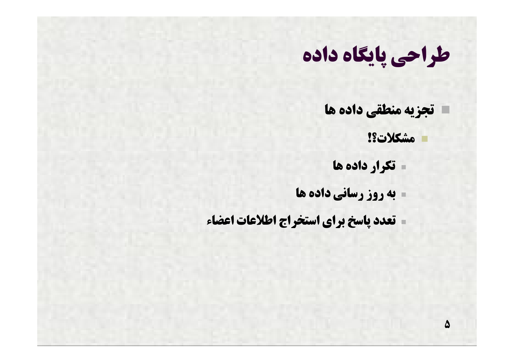- **تجزیه منطقی داده ها**
	- **مشکلات؟!**

**5**

- **تکرار داده ها**
- **به روز رسانی داده ها**
- **تعدد پاسخ براي استخراج اطلاعات اعضاء**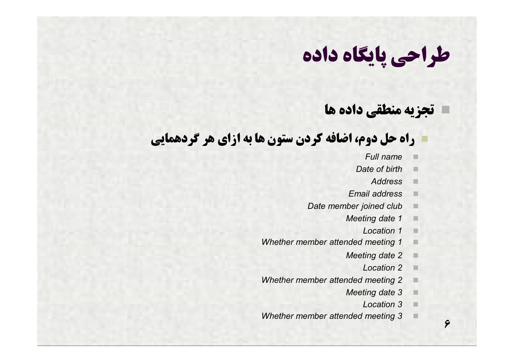#### **تجزیه منطقی داده ها**

#### **راه حل دوم، اضافه کردن ستون ها به ازاي هر گردهمایی**

- *Full name*
- *Date of birth*
	- *Address*
- *Email address*
- *Date member joined club*
	- *Meeting date 1*
		- *Location 1*
- *Whether member attended meeting 1*
	- *Meeting date 2*
		- *Location 2*
- *Whether member attended meeting 2*
	- *Meeting date 3*
		- *Location 3*

**6**

*Whether member attended meeting 3*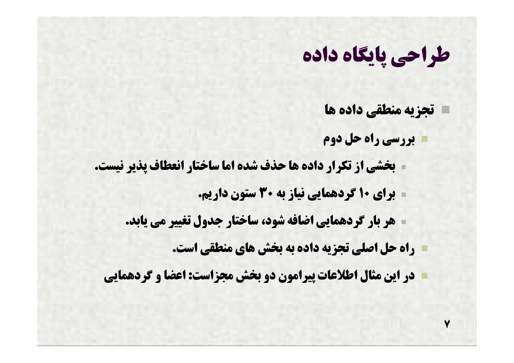- **تجزیه منطقی داده ها بررسی راه حل دوم بخشی از تکرار داده ها حذف شده اما ساختار انعطاف پذیر نیست.**
	- **براي 10 گردهمایی نیاز به 30 ستون داریم.**
	- **هر بار گردهمایی اضافه شود، ساختار جدول تغییر می یابد.**
		- **راه حل اصلی تجزیه داده به بخش هاي منطقی است.**
	- **در این مثال اطلاعات پیرامون دو بخش مجزاست: اعضا و گردهمایی**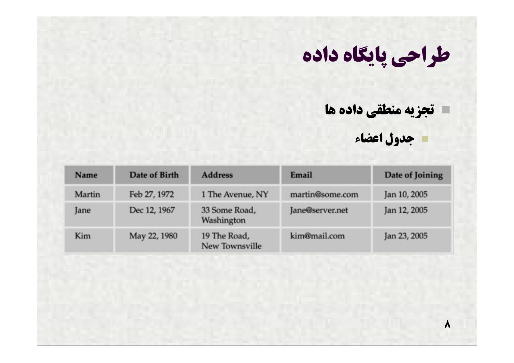#### **تجزیه منطقی داده ها**



**8**

| Name   | Date of Birth | <b>Address</b>                 | Email           | Date of Joining |
|--------|---------------|--------------------------------|-----------------|-----------------|
| Martin | Feb 27, 1972  | 1 The Avenue, NY               | martin@some.com | Jan 10, 2005    |
| Jane   | Dec 12, 1967  | 33 Some Road,<br>Washington    | Jane@server.net | Jan 12, 2005    |
| Kim    | May 22, 1980  | 19 The Road,<br>New Townsville | kim@mail.com    | Jan 23, 2005    |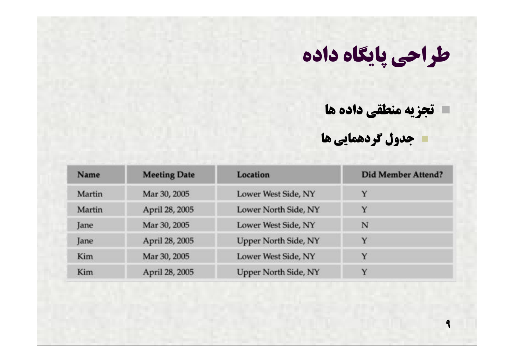**تجزیه منطقی داده ها**

**جدول گردهمایی ها**

**9**

| Name   | <b>Meeting Date</b> | Location                    | <b>Did Member Attend?</b> |  |
|--------|---------------------|-----------------------------|---------------------------|--|
| Martin | Mar 30, 2005        | Lower West Side, NY         | Υ                         |  |
| Martin | April 28, 2005      | Lower North Side, NY        | Y                         |  |
| Jane   | Mar 30, 2005        | Lower West Side, NY         | N                         |  |
| Jane   | April 28, 2005      | Upper North Side, NY        | Y                         |  |
| Kim    | Mar 30, 2005        | Lower West Side, NY         | Y                         |  |
| Kim    | April 28, 2005      | <b>Upper North Side, NY</b> | $\checkmark$              |  |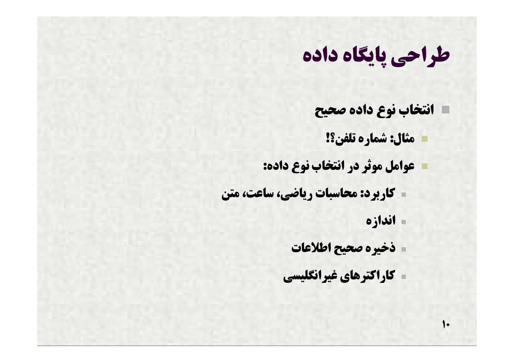- **انتخاب نوع داده صحیح**
	- **مثال: شماره تلفن؟!**
- **عوامل موثر در انتخاب نوع داده:**
- **کاربرد:محاسبات ریاضی، ساعت،متن**
	- **اندازه**

 $\bullet$ 

- **ذخیره صحیح اطلاعات**
- **کاراکترهاي غیرانگلیسی**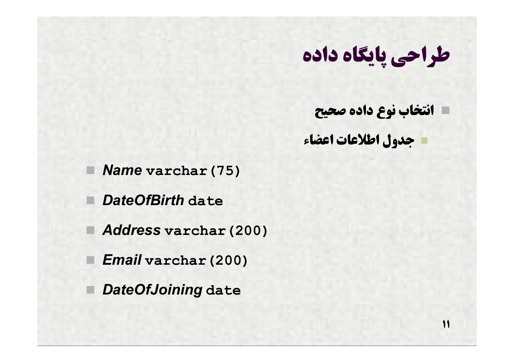**انتخاب نوع داده صحیح جدول اطلاعات اعضاء**

**11**

*Name* **varchar(75)**

*DateOfBirth* **date**

*Address* **varchar(200)**

*Email* **varchar(200)**

*DateOfJoining* **date**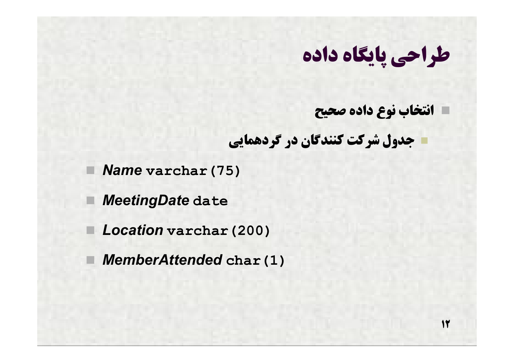**انتخاب نوع داده صحیح**

**12**

**جدول شرکت کنندگان در گردهمایی**

*Name* **varchar(75)**

*MeetingDate* **date**

*Location* **varchar(200)**

*MemberAttended* **char(1)**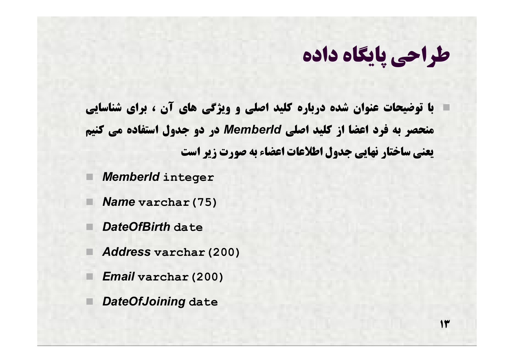**13**

 **با توضیحات عنوان شده درباره کلید اصلی و ویژگی هاي آن ، براي شناسایی منحصر به فرد اعضا از کلید اصلی** *MemberId* **در دو جدول استفاده می کنیم یعنی ساختار نهایی جدول اطلاعات اعضاءبه صورت زیر است**

*MemberId* **integer**

- *Name* **varchar(75)**
- *DateOfBirth* **date**
- *Address* **varchar(200)**
	- *Email* **varchar(200)**
	- *DateOfJoining* **date**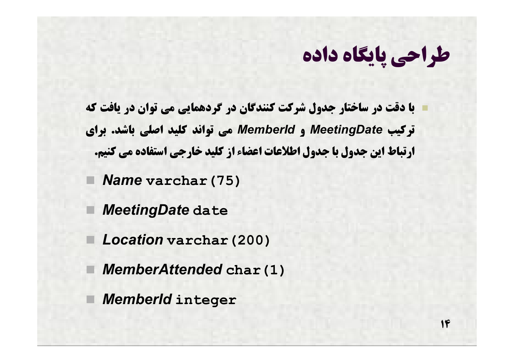**با دقت در ساختار جدول شرکت کنندگان در گردهمایی می توان در یافت که ترکیب** *MeetingDate* **و** *MemberId* **می تواند کلید اصلی باشد. براي ارتباط این جدول با جدول اطلاعات اعضاء از کلید خارجی استفاده می کنیم.**

*Name* **varchar(75)**

*MeetingDate* **date**

*Location* **varchar(200)**

*MemberAttended* **char(1)**

*MemberId* **integer**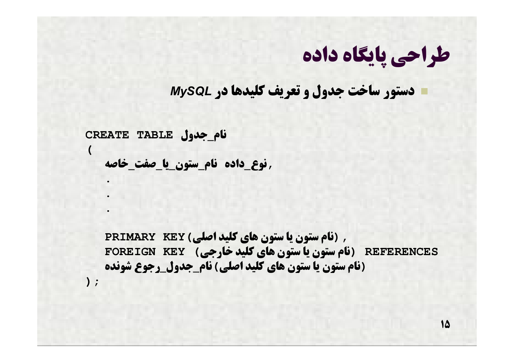**دستور ساخت جدول و تعریف کلیدها در** *MySQL*

**نام\_جدول TABLE CREATE**

**(**

**);**

**.**

**.**

**.**

**,نوع\_داده نام\_ستون\_یا\_صفت\_خاصه**

**,(نام ستون یا ستون هاي کلید اصلی)KEY PRIMARY REFERENCES) نام ستون یا ستون هاي کلید خارجی) KEY FOREIGN (نام ستون یا ستون هاي کلید اصلی)نام\_جدول\_رجوع شونده**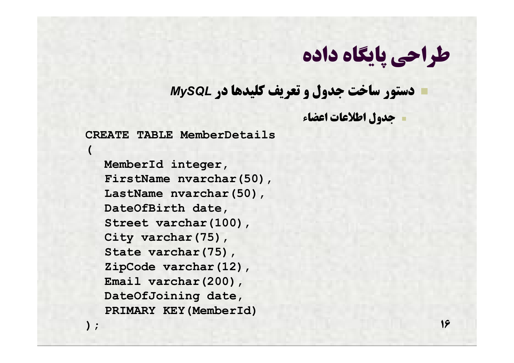**دستور ساخت جدول و تعریف کلیدها در** *MySQL*

**جدول اطلاعات اعضاء**

**CREATE TABLE MemberDetails**

**(**

**);**

**MemberId integer, FirstName nvarchar(50), LastName nvarchar(50), DateOfBirth date, Street varchar(100), City varchar(75), State varchar(75), ZipCode varchar(12), Email varchar(200), DateOfJoining date, PRIMARY KEY(MemberId)**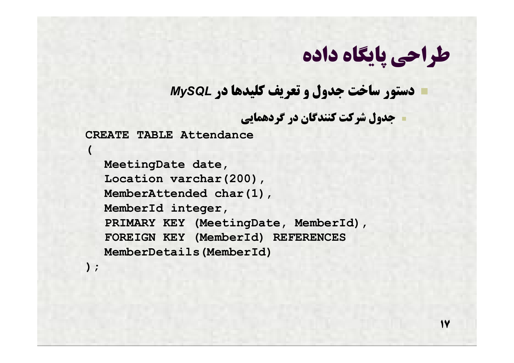**دستور ساخت جدول و تعریف کلیدها در** *MySQL*

**جدول شرکت کنندگان در گردهمایی**

**CREATE TABLE Attendance**

**(**

**);**

**MeetingDate date, Location varchar(200), MemberAttended char(1), MemberId integer, PRIMARY KEY (MeetingDate, MemberId), FOREIGN KEY (MemberId) REFERENCES MemberDetails(MemberId)**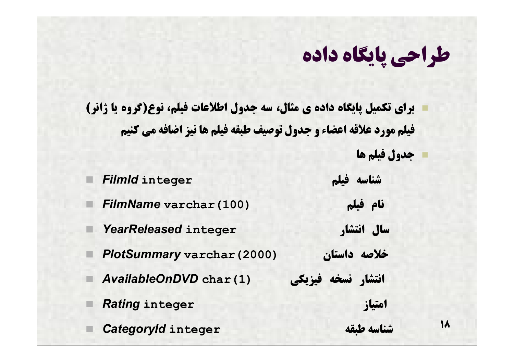**18**

 **براي تکمیل پایگاه داده ي مثال، سه جدول اطلاعات فیلم، نوع(گروه یا ژانر) فیلم مورد علاقه اعضاء و جدول توصیف طبقه فیلم ها نیز اضافه می کنیم جدول فیلم ها**

 *FilmId* **integer فیلم شناسه** *FilmName* **varchar(100) فیلم نام** *YearReleased* **integer انتشار سال** *PlotSummary* **varchar(2000) داستان خلاصه انتشار نسخه فیزیکی (1)char** *AvailableOnDVD Rating* **integer امتیاز**  *CategoryId* **integer طبقه شناسه**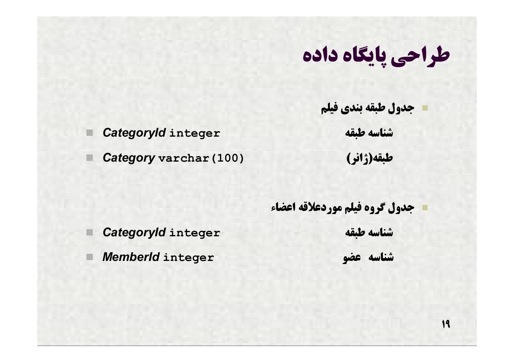**جدول طبقه بندي فیلم**

*CategoryId* **integer طبقه شناسه**

*Category* **varchar(100) (ژانر(طبقه**

 **جدول گروه فیلم موردعلاقه اعضاء** *CategoryId* **integer طبقه شناسه**

*MemberId* **integer عضو شناسه**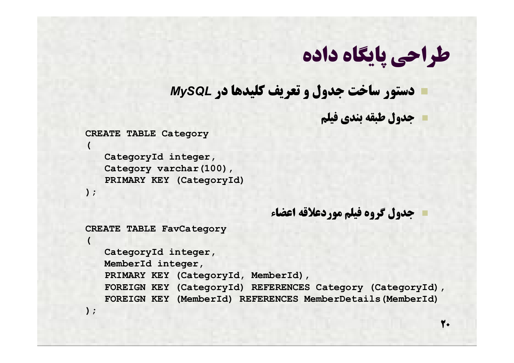#### **دستور ساخت جدول و تعریف کلیدها در** *MySQL*

**جدول طبقه بندي فیلم**

#### **CREATE TABLE Category**

**CategoryId integer,** Category varchar(100), **PRIMARY KEY (CategoryId)**

```
 جدول گروه فیلم موردعلاقه اعضاء
```
**CREATE TABLE FavCategory**

**CategoryId integer, MemberId integer, PRIMARY KEY (CategoryId, MemberId), FOREIGN KEY (CategoryId) REFERENCES Category (CategoryId), FOREIGN KEY (MemberId) REFERENCES MemberDetails(MemberId)**

**);**

**(**

**);**

**(**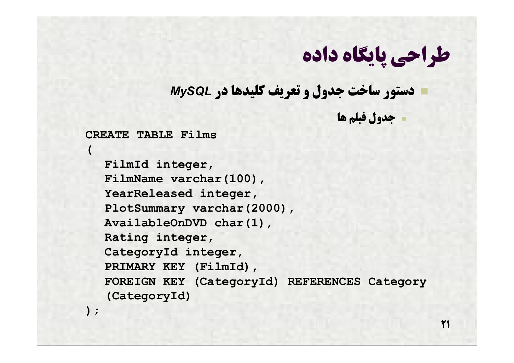**دستور ساخت جدول و تعریف کلیدها در** *MySQL*

**جدول فیلم ها**

**21**

**CREATE TABLE Films**

**FilmId integer, FilmName varchar(100), YearReleased integer, PlotSummary varchar(2000), AvailableOnDVD char(1), Rating integer, CategoryId integer, PRIMARY KEY (FilmId), FOREIGN KEY (CategoryId) REFERENCES Category (CategoryId)**

**);**

**(**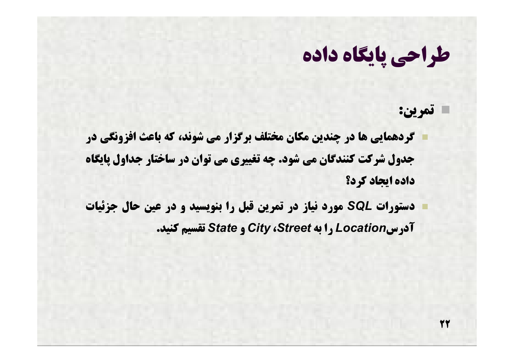**تمرین:**

**22**

 **گردهمایی ها در چندین مکان مختلف برگزار می شوند، که باعث افزونگی در جدول شرکت کنندگان می شود. چه تغییري می توان در ساختار جداول پایگاه داده ایجاد کرد؟**

 **دستورات** *SQL* **مورد نیاز در تمرین قبل را بنویسید و در عین حال جزئیات آدرس***Location* **را به** *Street***،** *City* **و** *State* **تقسیم کنید.**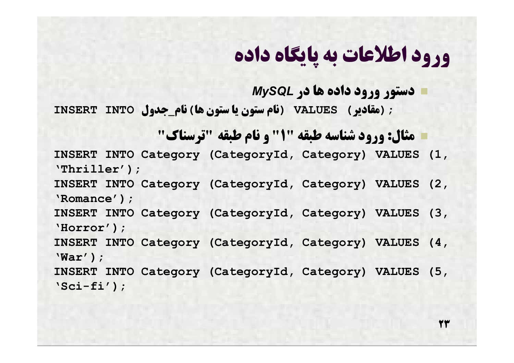**دستور ورود داده ها در** *MySQL* **;(مقادیر) VALUES) نام ستون یا ستون ها)نام\_جدول INTO INSERT**

 **مثال: ورود شناسه طبقه "1" و نام طبقه "ترسناك" INSERT INTO Category (CategoryId, Category) VALUES (1,** 

**'Thriller'); INSERT INTO Category (CategoryId, Category) VALUES (2, 'Romance');**

**INSERT INTO Category (CategoryId, Category) VALUES (3, 'Horror');**

**INSERT INTO Category (CategoryId, Category) VALUES (4, 'War');**

**INSERT INTO Category (CategoryId, Category) VALUES (5, 'Sci-fi');**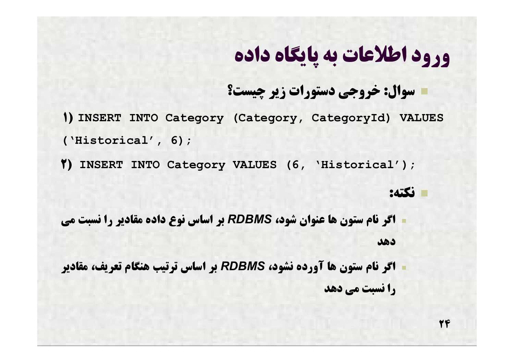#### **سوال: خروجی دستورات زیر چیست؟**

**1) INSERT INTO Category (Category, CategoryId) VALUES ('Historical', 6);**

**2) INSERT INTO Category VALUES (6, 'Historical');**

#### **نکته:**

- **اگر نام ستون ها عنوان شود،** *RDBMS* **بر اساس نوع داده مقادیر را نسبت می دهد**
- **اگر نام ستون ها آورده نشود،** *RDBMS* **بر اساس ترتیب هنگام تعریف، مقادیر را نسبت می دهد**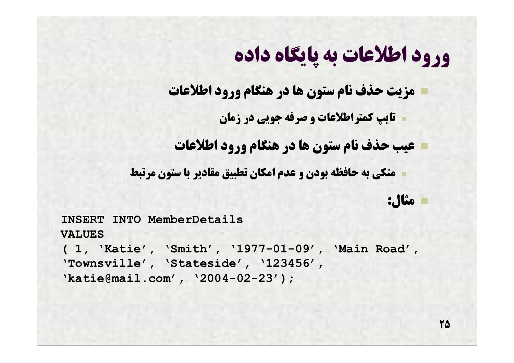**مزیت حذف نام ستون ها در هنگام ورود اطلاعات**

**تایپ کمتراطلاعات و صرفه جویی در زمان**

**عیب حذف نام ستون ها در هنگام ورود اطلاعات**

**متکی به حافظه بودن و عدم امکان تطبیق مقادیر با ستون مرتبط**

**مثال:**

**INSERT INTO MemberDetails VALUES ( 1, 'Katie', 'Smith', '1977-01-09', 'Main Road', 'Townsville', 'Stateside', '123456', 'katie@mail.com', '2004-02-23');**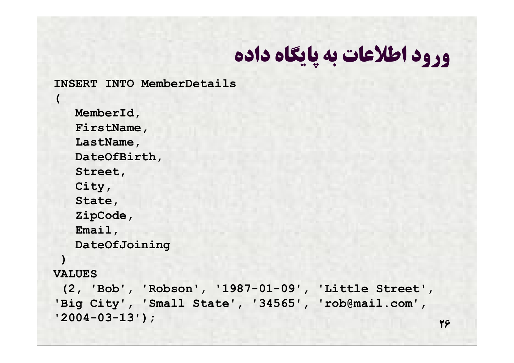**INSERT INTO MemberDetails**

**MemberId, FirstName, LastName, DateOfBirth, Street, City, State, ZipCode, Email, DateOfJoining**

**)** 

**(** 

#### **VALUES**

**(2, 'Bob', 'Robson', '1987-01-09', 'Little Street', 'Big City', 'Small State', '34565', 'rob@mail.com', '2004-03-13');**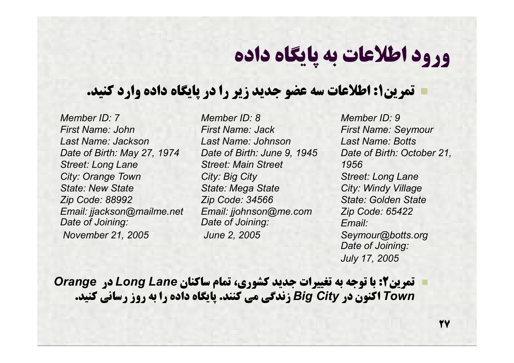#### **تمرین:1 اطلاعات سه عضو جدید زیر را در پایگاه داده وارد کنید.**

*Member ID: 7 First Name: John Last Name: Jackson Date of Birth: May 27, 1974 Street: Long Lane City: Orange Town State: New State Zip Code: 88992 Email: jjackson@mailme.net Date of Joining: November 21, 2005*

*Member ID: 8 First Name: Jack Last Name: Johnson Date of Birth: June 9, 1945 Street: Main Street City: Big City State: Mega State Zip Code: 34566 Email: jjohnson@me.com Date of Joining: June 2, 2005*

*Member ID: 9 First Name: Seymour Last Name: Botts Date of Birth: October 21, 1956 Street: Long Lane City: Windy Village State: Golden State Zip Code: 65422 Email: Seymour@botts.org Date of Joining: July 17, 2005*

 **تمرین:2 با توجه به تغییرات جدید کشوري، تمام ساکنان** *Lane Long* **در** *Orange Town* **اکنون در** *City Big* **زندگی می کنند. پایگاه داده را به روز رسانی کنید.**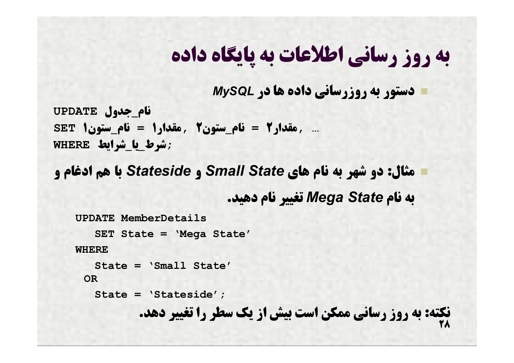## **به روز رسانی اطلاعات به پایگاه داده**

 **دستور به روزرسانی داده ها در** *MySQL* **نام\_جدول UPDATE ... ,مقدار2 = نام\_ستون2 ,مقدار1 = نام\_ستون1 SET ;شرط\_یا\_شرایط WHERE**

 **مثال: دو شهر به نام هاي** *State Small* **و** *Stateside* **با هم ادغام و به نام** *State Mega* **تغییر نام دهید.**

```
<u>27</u>
UPDATE MemberDetails
   SET State = 'Mega State'
WHERE
   State = 'Small State'
  OR
   State = 'Stateside';
           نکته: به روز رسانی ممکن است بیش از یک سطر را تغییر دهد.
```